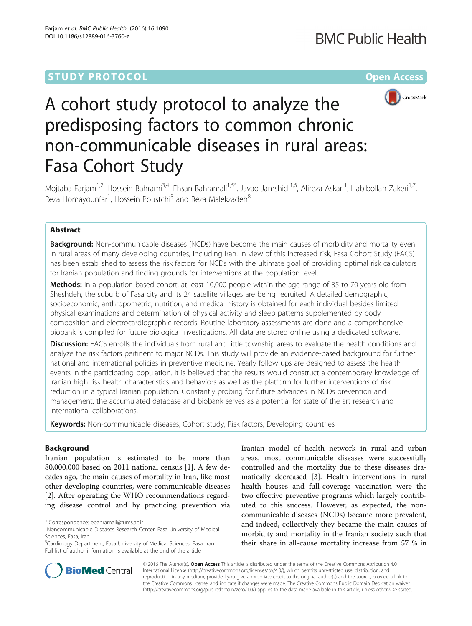# **STUDY PROTOCOL CONSUMING THE RESERVE ACCESS**



# A cohort study protocol to analyze the predisposing factors to common chronic non-communicable diseases in rural areas: Fasa Cohort Study

Mojtaba Farjam<sup>1,2</sup>, Hossein Bahrami<sup>3,4</sup>, Ehsan Bahramali<sup>1,5\*</sup>, Javad Jamshidi<sup>1,6</sup>, Alireza Askari<sup>1</sup>, Habibollah Zakeri<sup>1,7</sup>, Reza Homayounfar<sup>1</sup>, Hossein Poustchi<sup>8</sup> and Reza Malekzadeh<sup>8</sup>

# Abstract

**Background:** Non-communicable diseases (NCDs) have become the main causes of morbidity and mortality even in rural areas of many developing countries, including Iran. In view of this increased risk, Fasa Cohort Study (FACS) has been established to assess the risk factors for NCDs with the ultimate goal of providing optimal risk calculators for Iranian population and finding grounds for interventions at the population level.

Methods: In a population-based cohort, at least 10,000 people within the age range of 35 to 70 years old from Sheshdeh, the suburb of Fasa city and its 24 satellite villages are being recruited. A detailed demographic, socioeconomic, anthropometric, nutrition, and medical history is obtained for each individual besides limited physical examinations and determination of physical activity and sleep patterns supplemented by body composition and electrocardiographic records. Routine laboratory assessments are done and a comprehensive biobank is compiled for future biological investigations. All data are stored online using a dedicated software.

**Discussion:** FACS enrolls the individuals from rural and little township areas to evaluate the health conditions and analyze the risk factors pertinent to major NCDs. This study will provide an evidence-based background for further national and international policies in preventive medicine. Yearly follow ups are designed to assess the health events in the participating population. It is believed that the results would construct a contemporary knowledge of Iranian high risk health characteristics and behaviors as well as the platform for further interventions of risk reduction in a typical Iranian population. Constantly probing for future advances in NCDs prevention and management, the accumulated database and biobank serves as a potential for state of the art research and international collaborations.

Keywords: Non-communicable diseases, Cohort study, Risk factors, Developing countries

# Background

Iranian population is estimated to be more than 80,000,000 based on 2011 national census [\[1](#page-6-0)]. A few decades ago, the main causes of mortality in Iran, like most other developing countries, were communicable diseases [[2\]](#page-6-0). After operating the WHO recommendations regarding disease control and by practicing prevention via

Iranian model of health network in rural and urban areas, most communicable diseases were successfully controlled and the mortality due to these diseases dramatically decreased [\[3](#page-6-0)]. Health interventions in rural health houses and full-coverage vaccination were the two effective preventive programs which largely contributed to this success. However, as expected, the noncommunicable diseases (NCDs) became more prevalent, and indeed, collectively they became the main causes of morbidity and mortality in the Iranian society such that their share in all-cause mortality increase from 57 % in



© 2016 The Author(s). Open Access This article is distributed under the terms of the Creative Commons Attribution 4.0 International License [\(http://creativecommons.org/licenses/by/4.0/](http://creativecommons.org/licenses/by/4.0/)), which permits unrestricted use, distribution, and reproduction in any medium, provided you give appropriate credit to the original author(s) and the source, provide a link to the Creative Commons license, and indicate if changes were made. The Creative Commons Public Domain Dedication waiver [\(http://creativecommons.org/publicdomain/zero/1.0/](http://creativecommons.org/publicdomain/zero/1.0/)) applies to the data made available in this article, unless otherwise stated.

<sup>\*</sup> Correspondence: [ebahramali@fums.ac.ir](mailto:ebahramali@fums.ac.ir) <sup>1</sup>

<sup>&</sup>lt;sup>1</sup>Noncommunicable Diseases Research Center, Fasa University of Medical Sciences, Fasa, Iran

<sup>&</sup>lt;sup>5</sup>Cardiology Department, Fasa University of Medical Sciences, Fasa, Iran Full list of author information is available at the end of the article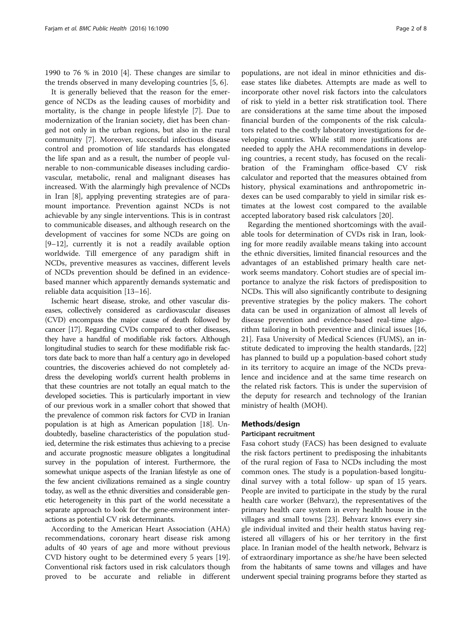1990 to 76 % in 2010 [\[4](#page-6-0)]. These changes are similar to the trends observed in many developing countries [[5, 6\]](#page-6-0).

It is generally believed that the reason for the emergence of NCDs as the leading causes of morbidity and mortality, is the change in people lifestyle [[7\]](#page-7-0). Due to modernization of the Iranian society, diet has been changed not only in the urban regions, but also in the rural community [\[7](#page-7-0)]. Moreover, successful infectious disease control and promotion of life standards has elongated the life span and as a result, the number of people vulnerable to non-communicable diseases including cardiovascular, metabolic, renal and malignant diseases has increased. With the alarmingly high prevalence of NCDs in Iran [\[8](#page-7-0)], applying preventing strategies are of paramount importance. Prevention against NCDs is not achievable by any single interventions. This is in contrast to communicable diseases, and although research on the development of vaccines for some NCDs are going on [[9](#page-7-0)–[12\]](#page-7-0), currently it is not a readily available option worldwide. Till emergence of any paradigm shift in NCDs, preventive measures as vaccines, different levels of NCDs prevention should be defined in an evidencebased manner which apparently demands systematic and reliable data acquisition [[13](#page-7-0)–[16\]](#page-7-0).

Ischemic heart disease, stroke, and other vascular diseases, collectively considered as cardiovascular diseases (CVD) encompass the major cause of death followed by cancer [\[17](#page-7-0)]. Regarding CVDs compared to other diseases, they have a handful of modifiable risk factors. Although longitudinal studies to search for these modifiable risk factors date back to more than half a century ago in developed countries, the discoveries achieved do not completely address the developing world's current health problems in that these countries are not totally an equal match to the developed societies. This is particularly important in view of our previous work in a smaller cohort that showed that the prevalence of common risk factors for CVD in Iranian population is at high as American population [\[18\]](#page-7-0). Undoubtedly, baseline characteristics of the population studied, determine the risk estimates thus achieving to a precise and accurate prognostic measure obligates a longitudinal survey in the population of interest. Furthermore, the somewhat unique aspects of the Iranian lifestyle as one of the few ancient civilizations remained as a single country today, as well as the ethnic diversities and considerable genetic heterogeneity in this part of the world necessitate a separate approach to look for the gene-environment interactions as potential CV risk determinants.

According to the American Heart Association (AHA) recommendations, coronary heart disease risk among adults of 40 years of age and more without previous CVD history ought to be determined every 5 years [\[19](#page-7-0)]. Conventional risk factors used in risk calculators though proved to be accurate and reliable in different

populations, are not ideal in minor ethnicities and disease states like diabetes. Attempts are made as well to incorporate other novel risk factors into the calculators of risk to yield in a better risk stratification tool. There are considerations at the same time about the imposed financial burden of the components of the risk calculators related to the costly laboratory investigations for developing countries. While still more justifications are needed to apply the AHA recommendations in developing countries, a recent study, has focused on the recalibration of the Framingham office-based CV risk calculator and reported that the measures obtained from history, physical examinations and anthropometric indexes can be used comparably to yield in similar risk estimates at the lowest cost compared to the available accepted laboratory based risk calculators [\[20](#page-7-0)].

Regarding the mentioned shortcomings with the available tools for determination of CVDs risk in Iran, looking for more readily available means taking into account the ethnic diversities, limited financial resources and the advantages of an established primary health care network seems mandatory. Cohort studies are of special importance to analyze the risk factors of predisposition to NCDs. This will also significantly contribute to designing preventive strategies by the policy makers. The cohort data can be used in organization of almost all levels of disease prevention and evidence-based real-time algorithm tailoring in both preventive and clinical issues [[16](#page-7-0), [21\]](#page-7-0). Fasa University of Medical Sciences (FUMS), an institute dedicated to improving the health standards, [[22](#page-7-0)] has planned to build up a population-based cohort study in its territory to acquire an image of the NCDs prevalence and incidence and at the same time research on the related risk factors. This is under the supervision of the deputy for research and technology of the Iranian ministry of health (MOH).

# Methods/design

#### Participant recruitment

Fasa cohort study (FACS) has been designed to evaluate the risk factors pertinent to predisposing the inhabitants of the rural region of Fasa to NCDs including the most common ones. The study is a population-based longitudinal survey with a total follow- up span of 15 years. People are invited to participate in the study by the rural health care worker (Behvarz), the representatives of the primary health care system in every health house in the villages and small towns [\[23](#page-7-0)]. Behvarz knows every single individual invited and their health status having registered all villagers of his or her territory in the first place. In Iranian model of the health network, Behvarz is of extraordinary importance as she/he have been selected from the habitants of same towns and villages and have underwent special training programs before they started as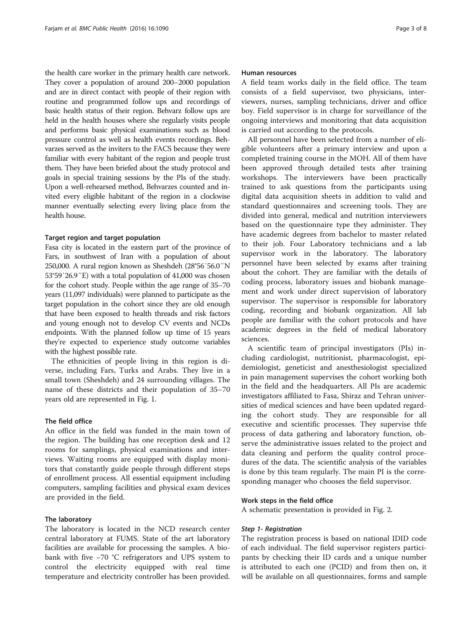the health care worker in the primary health care network. They cover a population of around 200–2000 population and are in direct contact with people of their region with routine and programmed follow ups and recordings of basic health status of their region. Behvarz follow ups are held in the health houses where she regularly visits people and performs basic physical examinations such as blood pressure control as well as health events recordings. Behvarzes served as the inviters to the FACS because they were familiar with every habitant of the region and people trust them. They have been briefed about the study protocol and goals in special training sessions by the PIs of the study. Upon a well-rehearsed method, Behvarzes counted and invited every eligible habitant of the region in a clockwise manner eventually selecting every living place from the health house.

#### Target region and target population

Fasa city is located in the eastern part of the province of Fars, in southwest of Iran with a population of about 250,000. A rural region known as Sheshdeh (28°56′56.0″N 53°59′26.9″E) with a total population of 41,000 was chosen for the cohort study. People within the age range of 35–70 years (11,097 individuals) were planned to participate as the target population in the cohort since they are old enough that have been exposed to health threads and risk factors and young enough not to develop CV events and NCDs endpoints. With the planned follow up time of 15 years they're expected to experience study outcome variables with the highest possible rate.

The ethnicities of people living in this region is diverse, including Fars, Turks and Arabs. They live in a small town (Sheshdeh) and 24 surrounding villages. The name of these districts and their population of 35–70 years old are represented in Fig. [1.](#page-3-0)

#### The field office

An office in the field was funded in the main town of the region. The building has one reception desk and 12 rooms for samplings, physical examinations and interviews. Waiting rooms are equipped with display monitors that constantly guide people through different steps of enrollment process. All essential equipment including computers, sampling facilities and physical exam devices are provided in the field.

#### The laboratory

The laboratory is located in the NCD research center central laboratory at FUMS. State of the art laboratory facilities are available for processing the samples. A biobank with five −70 °C refrigerators and UPS system to control the electricity equipped with real time temperature and electricity controller has been provided.

#### Human resources

A field team works daily in the field office. The team consists of a field supervisor, two physicians, interviewers, nurses, sampling technicians, driver and office boy. Field supervisor is in charge for surveillance of the ongoing interviews and monitoring that data acquisition is carried out according to the protocols.

All personnel have been selected from a number of eligible volunteers after a primary interview and upon a completed training course in the MOH. All of them have been approved through detailed tests after training workshops. The interviewers have been practically trained to ask questions from the participants using digital data acquisition sheets in addition to valid and standard questionnaires and screening tools. They are divided into general, medical and nutrition interviewers based on the questionnaire type they administer. They have academic degrees from bachelor to master related to their job. Four Laboratory technicians and a lab supervisor work in the laboratory. The laboratory personnel have been selected by exams after training about the cohort. They are familiar with the details of coding process, laboratory issues and biobank management and work under direct supervision of laboratory supervisor. The supervisor is responsible for laboratory coding, recording and biobank organization. All lab people are familiar with the cohort protocols and have academic degrees in the field of medical laboratory sciences.

A scientific team of principal investigators (PIs) including cardiologist, nutritionist, pharmacologist, epidemiologist, geneticist and anesthesiologist specialized in pain management supervises the cohort working both in the field and the headquarters. All PIs are academic investigators affiliated to Fasa, Shiraz and Tehran universities of medical sciences and have been updated regarding the cohort study. They are responsible for all executive and scientific processes. They supervise thfe process of data gathering and laboratory function, observe the administrative issues related to the project and data cleaning and perform the quality control procedures of the data. The scientific analysis of the variables is done by this team regularly. The main PI is the corresponding manager who chooses the field supervisor.

#### Work steps in the field office

A schematic presentation is provided in Fig. [2](#page-4-0).

## Step 1- Registration

The registration process is based on national IDID code of each individual. The field supervisor registers participants by checking their ID cards and a unique number is attributed to each one (PCID) and from then on, it will be available on all questionnaires, forms and sample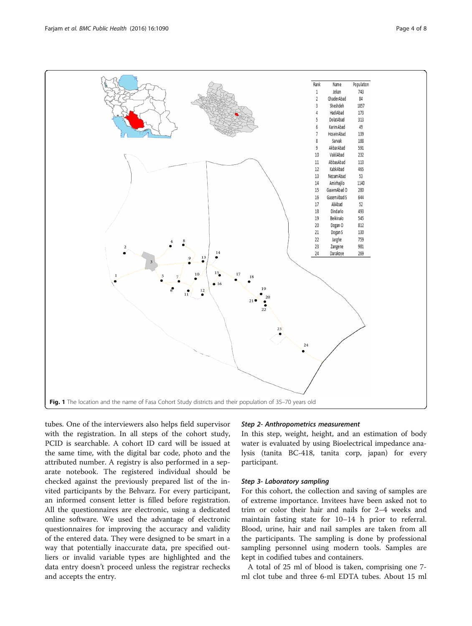<span id="page-3-0"></span>

tubes. One of the interviewers also helps field supervisor with the registration. In all steps of the cohort study, PCID is searchable. A cohort ID card will be issued at the same time, with the digital bar code, photo and the attributed number. A registry is also performed in a separate notebook. The registered individual should be checked against the previously prepared list of the invited participants by the Behvarz. For every participant, an informed consent letter is filled before registration. All the questionnaires are electronic, using a dedicated online software. We used the advantage of electronic questionnaires for improving the accuracy and validity of the entered data. They were designed to be smart in a way that potentially inaccurate data, pre specified outliers or invalid variable types are highlighted and the data entry doesn't proceed unless the registrar rechecks and accepts the entry.

# Step 2- Anthropometrics measurement

In this step, weight, height, and an estimation of body water is evaluated by using Bioelectrical impedance analysis (tanita BC-418, tanita corp, japan) for every participant.

# Step 3- Laboratory sampling

For this cohort, the collection and saving of samples are of extreme importance. Invitees have been asked not to trim or color their hair and nails for 2–4 weeks and maintain fasting state for 10–14 h prior to referral. Blood, urine, hair and nail samples are taken from all the participants. The sampling is done by professional sampling personnel using modern tools. Samples are kept in codified tubes and containers.

A total of 25 ml of blood is taken, comprising one 7 ml clot tube and three 6-ml EDTA tubes. About 15 ml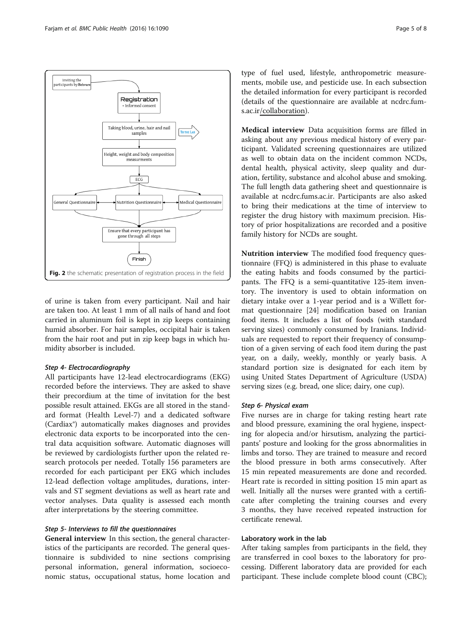<span id="page-4-0"></span>

of urine is taken from every participant. Nail and hair are taken too. At least 1 mm of all nails of hand and foot carried in aluminum foil is kept in zip keeps containing humid absorber. For hair samples, occipital hair is taken from the hair root and put in zip keep bags in which humidity absorber is included.

# Step 4- Electrocardiography

All participants have 12-lead electrocardiograms (EKG) recorded before the interviews. They are asked to shave their precordium at the time of invitation for the best possible result attained. EKGs are all stored in the standard format (Health Level-7) and a dedicated software (Cardiax®) automatically makes diagnoses and provides electronic data exports to be incorporated into the central data acquisition software. Automatic diagnoses will be reviewed by cardiologists further upon the related research protocols per needed. Totally 156 parameters are recorded for each participant per EKG which includes 12-lead deflection voltage amplitudes, durations, intervals and ST segment deviations as well as heart rate and vector analyses. Data quality is assessed each month after interpretations by the steering committee.

## Step 5- Interviews to fill the questionnaires

General interview In this section, the general characteristics of the participants are recorded. The general questionnaire is subdivided to nine sections comprising personal information, general information, socioeconomic status, occupational status, home location and

type of fuel used, lifestyle, anthropometric measurements, mobile use, and pesticide use. In each subsection the detailed information for every participant is recorded (details of the questionnaire are available at ncdrc.fums.ac.ir/collaboration).

Medical interview Data acquisition forms are filled in asking about any previous medical history of every participant. Validated screening questionnaires are utilized as well to obtain data on the incident common NCDs, dental health, physical activity, sleep quality and duration, fertility, substance and alcohol abuse and smoking. The full length data gathering sheet and questionnaire is available at ncdrc.fums.ac.ir. Participants are also asked to bring their medications at the time of interview to register the drug history with maximum precision. History of prior hospitalizations are recorded and a positive family history for NCDs are sought.

Nutrition interview The modified food frequency questionnaire (FFQ) is administered in this phase to evaluate the eating habits and foods consumed by the participants. The FFQ is a semi-quantitative 125-item inventory. The inventory is used to obtain information on dietary intake over a 1-year period and is a Willett format questionnaire [[24\]](#page-7-0) modification based on Iranian food items. It includes a list of foods (with standard serving sizes) commonly consumed by Iranians. Individuals are requested to report their frequency of consumption of a given serving of each food item during the past year, on a daily, weekly, monthly or yearly basis. A standard portion size is designated for each item by using United States Department of Agriculture (USDA) serving sizes (e.g. bread, one slice; dairy, one cup).

# Step 6- Physical exam

Five nurses are in charge for taking resting heart rate and blood pressure, examining the oral hygiene, inspecting for alopecia and/or hirsutism, analyzing the participants' posture and looking for the gross abnormalities in limbs and torso. They are trained to measure and record the blood pressure in both arms consecutively. After 15 min repeated measurements are done and recorded. Heart rate is recorded in sitting position 15 min apart as well. Initially all the nurses were granted with a certificate after completing the training courses and every 3 months, they have received repeated instruction for certificate renewal.

# Laboratory work in the lab

After taking samples from participants in the field, they are transferred in cool boxes to the laboratory for processing. Different laboratory data are provided for each participant. These include complete blood count (CBC);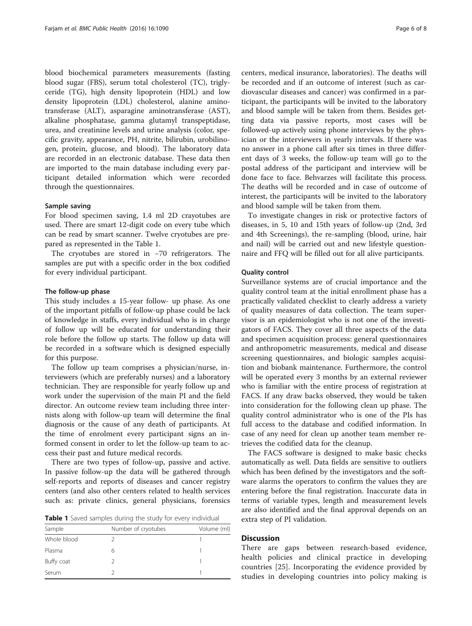blood biochemical parameters measurements (fasting blood sugar (FBS), serum total cholesterol (TC), triglyceride (TG), high density lipoprotein (HDL) and low density lipoprotein (LDL) cholesterol, alanine aminotransferase (ALT), asparagine aminotransferase (AST), alkaline phosphatase, gamma glutamyl transpeptidase, urea, and creatinine levels and urine analysis (color, specific gravity, appearance, PH, nitrite, bilirubin, urobilinogen, protein, glucose, and blood). The laboratory data are recorded in an electronic database. These data then are imported to the main database including every participant detailed information which were recorded through the questionnaires.

#### Sample saving

For blood specimen saving, 1.4 ml 2D crayotubes are used. There are smart 12-digit code on every tube which can be read by smart scanner. Twelve cryotubes are prepared as represented in the Table 1.

The cryotubes are stored in −70 refrigerators. The samples are put with a specific order in the box codified for every individual participant.

#### The follow-up phase

This study includes a 15-year follow- up phase. As one of the important pitfalls of follow-up phase could be lack of knowledge in staffs, every individual who is in charge of follow up will be educated for understanding their role before the follow up starts. The follow up data will be recorded in a software which is designed especially for this purpose.

The follow up team comprises a physician/nurse, interviewers (which are preferably nurses) and a laboratory technician. They are responsible for yearly follow up and work under the supervision of the main PI and the field director. An outcome review team including three internists along with follow-up team will determine the final diagnosis or the cause of any death of participants. At the time of enrolment every participant signs an informed consent in order to let the follow-up team to access their past and future medical records.

There are two types of follow-up, passive and active. In passive follow-up the data will be gathered through self-reports and reports of diseases and cancer registry centers (and also other centers related to health services such as: private clinics, general physicians, forensics

Table 1 Saved samples during the study for every individual

| Sample      | Number of cryotubes | Volume (ml) |
|-------------|---------------------|-------------|
| Whole blood |                     |             |
| Plasma      | h                   |             |
| Buffy coat  |                     |             |
| Serum       |                     |             |

centers, medical insurance, laboratories). The deaths will be recorded and if an outcome of interest (such as cardiovascular diseases and cancer) was confirmed in a participant, the participants will be invited to the laboratory and blood sample will be taken from them. Besides getting data via passive reports, most cases will be followed-up actively using phone interviews by the physician or the interviewers in yearly intervals. If there was no answer in a phone call after six times in three different days of 3 weeks, the follow-up team will go to the postal address of the participant and interview will be done face to face. Behvarzes will facilitate this process. The deaths will be recorded and in case of outcome of interest, the participants will be invited to the laboratory and blood sample will be taken from them.

To investigate changes in risk or protective factors of diseases, in 5, 10 and 15th years of follow-up (2nd, 3rd and 4th Screenings), the re-sampling (blood, urine, hair and nail) will be carried out and new lifestyle questionnaire and FFQ will be filled out for all alive participants.

#### Quality control

Surveillance systems are of crucial importance and the quality control team at the initial enrollment phase has a practically validated checklist to clearly address a variety of quality measures of data collection. The team supervisor is an epidemiologist who is not one of the investigators of FACS. They cover all three aspects of the data and specimen acquisition process: general questionnaires and anthropometric measurements, medical and disease screening questionnaires, and biologic samples acquisition and biobank maintenance. Furthermore, the control will be operated every 3 months by an external reviewer who is familiar with the entire process of registration at FACS. If any draw backs observed, they would be taken into consideration for the following clean up phase. The quality control administrator who is one of the PIs has full access to the database and codified information. In case of any need for clean up another team member retrieves the codified data for the cleanup.

The FACS software is designed to make basic checks automatically as well. Data fields are sensitive to outliers which has been defined by the investigators and the software alarms the operators to confirm the values they are entering before the final registration. Inaccurate data in terms of variable types, length and measurement levels are also identified and the final approval depends on an extra step of PI validation.

# **Discussion**

There are gaps between research-based evidence, health policies and clinical practice in developing countries [[25\]](#page-7-0). Incorporating the evidence provided by studies in developing countries into policy making is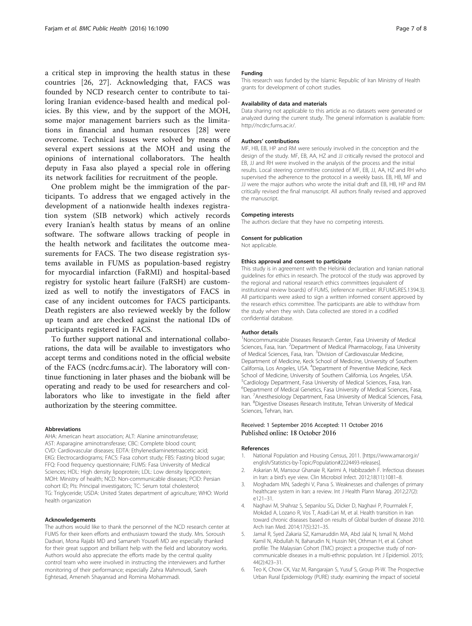<span id="page-6-0"></span>a critical step in improving the health status in these countries [[26, 27](#page-7-0)]. Acknowledging that, FACS was founded by NCD research center to contribute to tailoring Iranian evidence-based health and medical policies. By this view, and by the support of the MOH, some major management barriers such as the limitations in financial and human resources [[28\]](#page-7-0) were overcome. Technical issues were solved by means of several expert sessions at the MOH and using the opinions of international collaborators. The health deputy in Fasa also played a special role in offering its network facilities for recruitment of the people.

One problem might be the immigration of the participants. To address that we engaged actively in the development of a nationwide health indexes registration system (SIB network) which actively records every Iranian's health status by means of an online software. The software allows tracking of people in the health network and facilitates the outcome measurements for FACS. The two disease registration systems available in FUMS as population-based registry for myocardial infarction (FaRMI) and hospital-based registry for systolic heart failure (FaRSH) are customized as well to notify the investigators of FACS in case of any incident outcomes for FACS participants. Death registers are also reviewed weekly by the follow up team and are checked against the national IDs of participants registered in FACS.

To further support national and international collaborations, the data will be available to investigators who accept terms and conditions noted in the official website of the FACS (ncdrc.fums.ac.ir). The laboratory will continue functioning in later phases and the biobank will be operating and ready to be used for researchers and collaborators who like to investigate in the field after authorization by the steering committee.

#### Abbreviations

AHA: American heart association; ALT: Alanine aminotransferase; AST: Asparagine aminotransferase; CBC: Complete blood count; CVD: Cardiovascular diseases; EDTA: Ethylenediaminetetraacetic acid; EKG: Electrocardiograms; FACS: Fasa cohort study; FBS: Fasting blood sugar; FFQ: Food frequency questionnaire; FUMS: Fasa University of Medical Sciences; HDL: High density lipoprotein; LDL: Low density lipoprotein; MOH: Ministry of health; NCD: Non-communicable diseases; PCID: Persian cohort ID; PIs: Principal investigators; TC: Serum total cholesterol; TG: Triglyceride; USDA: United States department of agriculture; WHO: World health organization

#### Acknowledgements

The authors would like to thank the personnel of the NCD research center at FUMS for their keen efforts and enthusiasm toward the study. Mrs. Soroush Dadvari, Mona Rajabi MD and Samaneh Yousefi MD are especially thanked for their great support and brilliant help with the field and laboratory works. Authors would also appreciate the efforts made by the central quality control team who were involved in instructing the interviewers and further monitoring of their performance; especially Zahra Mahmoudi, Sareh Eghtesad, Ameneh Shayanrad and Romina Mohammadi.

#### Funding

This research was funded by the Islamic Republic of Iran Ministry of Health grants for development of cohort studies.

#### Availability of data and materials

Data sharing not applicable to this article as no datasets were generated or analyzed during the current study. The general information is available from: [http://ncdrc.fums.ac.ir/.](http://ncdrc.fums.ac.ir/)

#### Authors' contributions

MF, HB, EB, HP and RM were seriously involved in the conception and the design of the study. MF, EB, AA, HZ and JJ critically revised the protocol and EB, JJ and RH were involved in the analysis of the process and the initial results. Local steering committee consisted of MF, EB, JJ, AA, HZ and RH who supervised the adherence to the protocol in a weekly basis. EB, HB, MF and JJ were the major authors who wrote the initial draft and EB, HB, HP and RM critically revised the final manuscript. All authors finally revised and approved the manuscript.

#### Competing interests

The authors declare that they have no competing interests.

#### Consent for publication

Not applicable.

#### Ethics approval and consent to participate

This study is in agreement with the Helsinki declaration and Iranian national guidelines for ethics in research. The protocol of the study was approved by the regional and national research ethics committees (equivalent of institutional review boards) of FUMS, (reference number: IR.FUMS.RES.1394.3). All participants were asked to sign a written informed consent approved by the research ethics committee. The participants are able to withdraw from the study when they wish. Data collected are stored in a codified confidential database.

#### Author details

<sup>1</sup>Noncommunicable Diseases Research Center, Fasa University of Medical Sciences, Fasa, Iran. <sup>2</sup> Department of Medical Pharmacology, Fasa University of Medical Sciences, Fasa, Iran. <sup>3</sup> Division of Cardiovascular Medicine Department of Medicine, Keck School of Medicine, University of Southern California, Los Angeles, USA. <sup>4</sup>Department of Preventive Medicine, Keck School of Medicine, University of Southern California, Los Angeles, USA. 5 Cardiology Department, Fasa University of Medical Sciences, Fasa, Iran. 6 Department of Medical Genetics, Fasa University of Medical Sciences, Fasa, Iran. <sup>7</sup> Anesthesiology Department, Fasa University of Medical Sciences, Fasa Iran. <sup>8</sup>Digestive Diseases Research Institute, Tehran University of Medical Sciences, Tehran, Iran.

#### Received: 1 September 2016 Accepted: 11 October 2016 Published online: 18 October 2016

#### References

- 1. National Population and Housing Census, 2011. [\[https://www.amar.org.ir/](https://www.amar.org.ir/english/Statistics-by-Topic/Population#2224493-releases) [english/Statistics-by-Topic/Population#2224493-releases\]](https://www.amar.org.ir/english/Statistics-by-Topic/Population#2224493-releases).
- 2. Askarian M, Mansour Ghanaie R, Karimi A, Habibzadeh F. Infectious diseases in Iran: a bird's eye view. Clin Microbiol Infect. 2012;18(11):1081–8.
- 3. Moghadam MN, Sadeghi V, Parva S. Weaknesses and challenges of primary healthcare system in Iran: a review. Int J Health Plann Manag. 2012;27(2): e121–31.
- 4. Naghavi M, Shahraz S, Sepanlou SG, Dicker D, Naghavi P, Pourmalek F, Mokdad A, Lozano R, Vos T, Asadi-Lari M, et al. Health transition in Iran toward chronic diseases based on results of Global burden of disease 2010. Arch Iran Med. 2014;17(5):321–35.
- 5. Jamal R, Syed Zakaria SZ, Kamaruddin MA, Abd Jalal N, Ismail N, Mohd Kamil N, Abdullah N, Baharudin N, Hussin NH, Othman H, et al. Cohort profile: The Malaysian Cohort (TMC) project: a prospective study of noncommunicable diseases in a multi-ethnic population. Int J Epidemiol. 2015; 44(2):423–31.
- 6. Teo K, Chow CK, Vaz M, Rangarajan S, Yusuf S, Group PI-W. The Prospective Urban Rural Epidemiology (PURE) study: examining the impact of societal